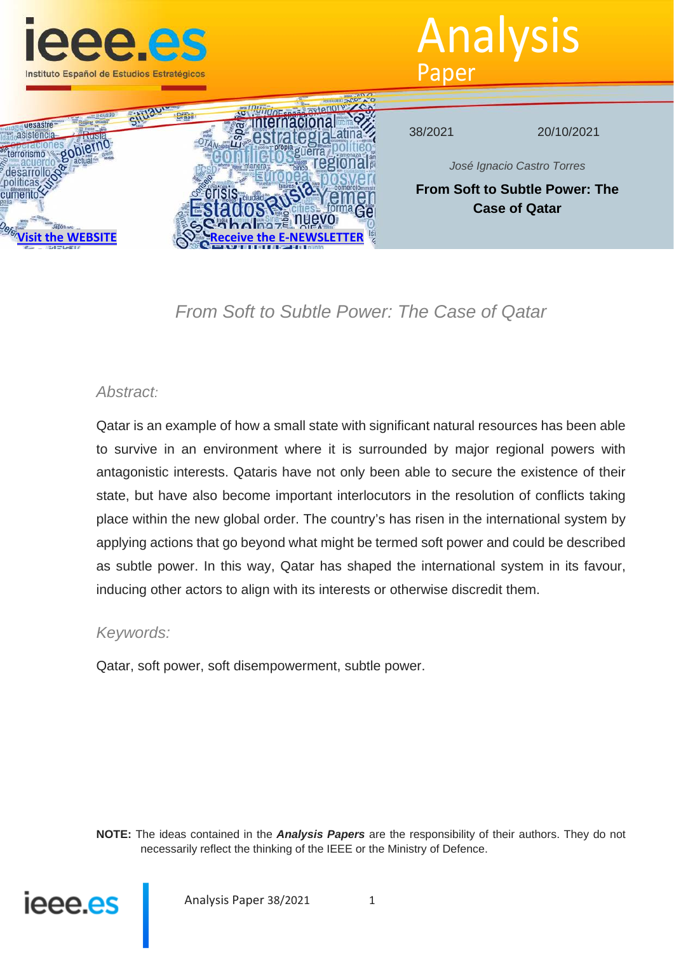

Analysis Paper



*From Soft to Subtle Power: The Case of Qatar*

## *Abstract:*

Qatar is an example of how a small state with significant natural resources has been able to survive in an environment where it is surrounded by major regional powers with antagonistic interests. Qataris have not only been able to secure the existence of their state, but have also become important interlocutors in the resolution of conflicts taking place within the new global order. The country's has risen in the international system by applying actions that go beyond what might be termed soft power and could be described as subtle power. In this way, Qatar has shaped the international system in its favour, inducing other actors to align with its interests or otherwise discredit them.

## *Keywords:*

Qatar, soft power, soft disempowerment, subtle power.

**NOTE:** The ideas contained in the *Analysis Papers* are the responsibility of their authors. They do not necessarily reflect the thinking of the IEEE or the Ministry of Defence.



Analysis Paper 38/2021 1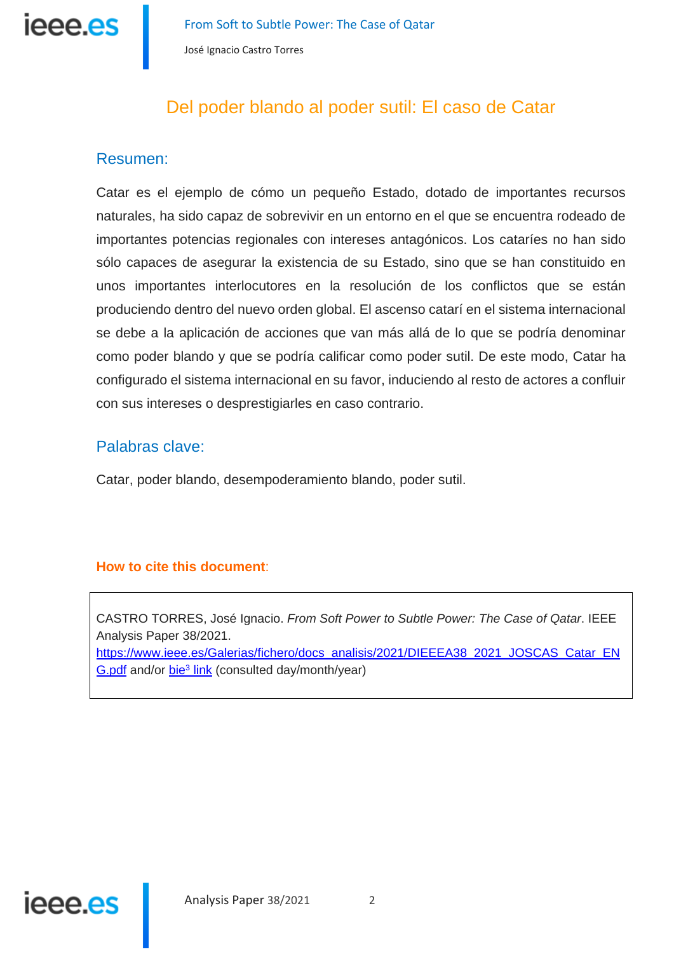

# Del poder blando al poder sutil: El caso de Catar

## Resumen:

Catar es el ejemplo de cómo un pequeño Estado, dotado de importantes recursos naturales, ha sido capaz de sobrevivir en un entorno en el que se encuentra rodeado de importantes potencias regionales con intereses antagónicos. Los cataríes no han sido sólo capaces de asegurar la existencia de su Estado, sino que se han constituido en unos importantes interlocutores en la resolución de los conflictos que se están produciendo dentro del nuevo orden global. El ascenso catarí en el sistema internacional se debe a la aplicación de acciones que van más allá de lo que se podría denominar como poder blando y que se podría calificar como poder sutil. De este modo, Catar ha configurado el sistema internacional en su favor, induciendo al resto de actores a confluir con sus intereses o desprestigiarles en caso contrario.

## Palabras clave:

Catar, poder blando, desempoderamiento blando, poder sutil.

#### **How to cite this document**:

CASTRO TORRES, José Ignacio. *From Soft Power to Subtle Power: The Case of Qatar*. IEEE Analysis Paper 38/2021.

https://www.ieee.es/Galerias/fichero/docs\_analisis/2021/DIEEEA38\_2021\_JOSCAS\_Catar\_EN G.pdf and/or bie3 link (consulted day/month/year)

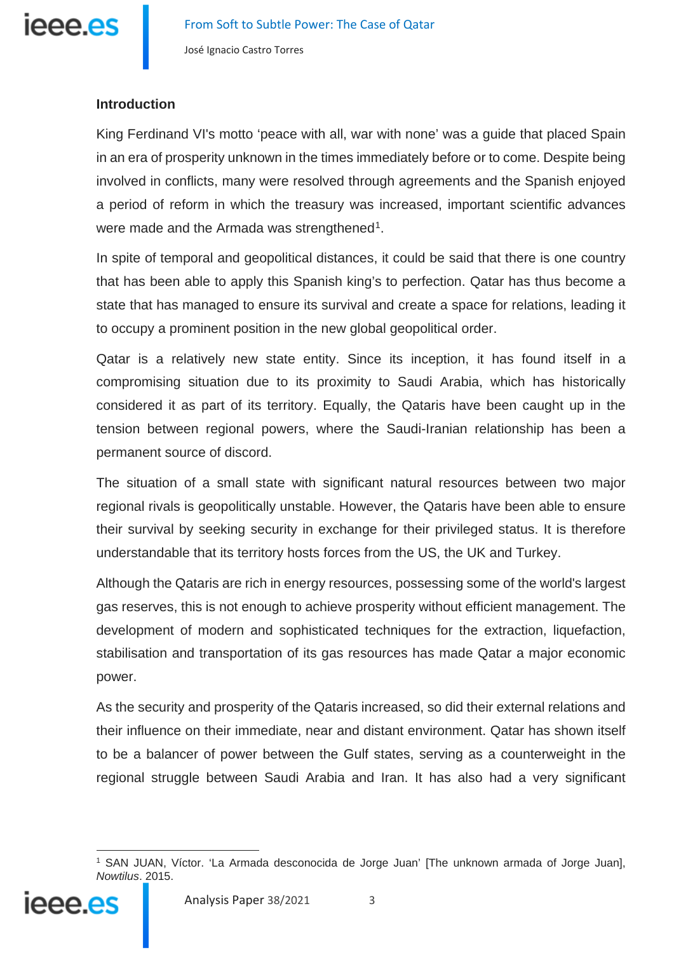

### **Introduction**

King Ferdinand VI's motto 'peace with all, war with none' was a guide that placed Spain in an era of prosperity unknown in the times immediately before or to come. Despite being involved in conflicts, many were resolved through agreements and the Spanish enjoyed a period of reform in which the treasury was increased, important scientific advances were made and the Armada was strengthened<sup>[1](#page-2-0)</sup>.

In spite of temporal and geopolitical distances, it could be said that there is one country that has been able to apply this Spanish king's to perfection. Qatar has thus become a state that has managed to ensure its survival and create a space for relations, leading it to occupy a prominent position in the new global geopolitical order.

Qatar is a relatively new state entity. Since its inception, it has found itself in a compromising situation due to its proximity to Saudi Arabia, which has historically considered it as part of its territory. Equally, the Qataris have been caught up in the tension between regional powers, where the Saudi-Iranian relationship has been a permanent source of discord.

The situation of a small state with significant natural resources between two major regional rivals is geopolitically unstable. However, the Qataris have been able to ensure their survival by seeking security in exchange for their privileged status. It is therefore understandable that its territory hosts forces from the US, the UK and Turkey.

Although the Qataris are rich in energy resources, possessing some of the world's largest gas reserves, this is not enough to achieve prosperity without efficient management. The development of modern and sophisticated techniques for the extraction, liquefaction, stabilisation and transportation of its gas resources has made Qatar a major economic power.

As the security and prosperity of the Qataris increased, so did their external relations and their influence on their immediate, near and distant environment. Qatar has shown itself to be a balancer of power between the Gulf states, serving as a counterweight in the regional struggle between Saudi Arabia and Iran. It has also had a very significant

<span id="page-2-0"></span><sup>1</sup> SAN JUAN, Víctor. 'La Armada desconocida de Jorge Juan' [The unknown armada of Jorge Juan], *Nowtilus*. 2015.

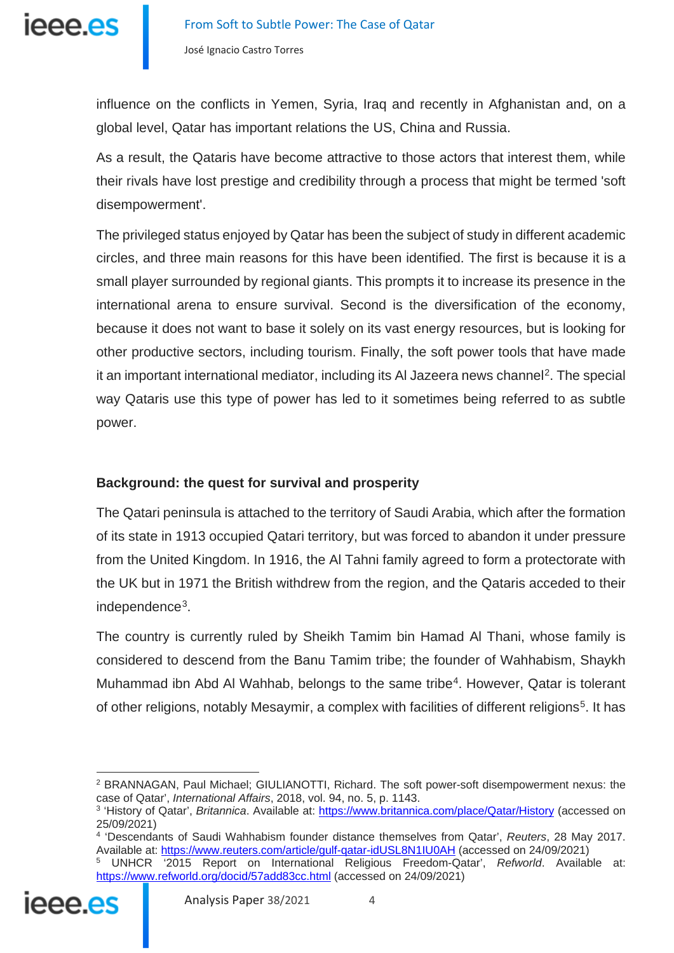

influence on the conflicts in Yemen, Syria, Iraq and recently in Afghanistan and, on a global level, Qatar has important relations the US, China and Russia.

As a result, the Qataris have become attractive to those actors that interest them, while their rivals have lost prestige and credibility through a process that might be termed 'soft disempowerment'.

The privileged status enjoyed by Qatar has been the subject of study in different academic circles, and three main reasons for this have been identified. The first is because it is a small player surrounded by regional giants. This prompts it to increase its presence in the international arena to ensure survival. Second is the diversification of the economy, because it does not want to base it solely on its vast energy resources, but is looking for other productive sectors, including tourism. Finally, the soft power tools that have made it an important international mediator, including its AI Jazeera news channel<sup>2</sup>. The special way Qataris use this type of power has led to it sometimes being referred to as subtle power.

## **Background: the quest for survival and prosperity**

The Qatari peninsula is attached to the territory of Saudi Arabia, which after the formation of its state in 1913 occupied Qatari territory, but was forced to abandon it under pressure from the United Kingdom. In 1916, the Al Tahni family agreed to form a protectorate with the UK but in 1971 the British withdrew from the region, and the Qataris acceded to their independence<sup>[3](#page-3-1)</sup>.

The country is currently ruled by Sheikh Tamim bin Hamad Al Thani, whose family is considered to descend from the Banu Tamim tribe; the founder of Wahhabism, Shaykh Muhammad ibn Abd Al Wahhab, belongs to the same tribe<sup>[4](#page-3-2)</sup>. However, Qatar is tolerant of other religions, notably Mesaymir, a complex with facilities of different religions<sup>[5](#page-3-3)</sup>. It has

<span id="page-3-3"></span><span id="page-3-2"></span><span id="page-3-1"></span><span id="page-3-0"></span><sup>5</sup> UNHCR '2015 Report on International Religious Freedom-Qatar', *Refworld*. Available at: <https://www.refworld.org/docid/57add83cc.html> (accessed on 24/09/2021)



<sup>2</sup> BRANNAGAN, Paul Michael; GIULIANOTTI, Richard. The soft power-soft disempowerment nexus: the case of Qatar', *International Affairs*, 2018, vol. 94, no. 5, p. 1143.

<sup>3</sup> 'History of Qatar', *Britannica*. Available at:<https://www.britannica.com/place/Qatar/History> (accessed on 25/09/2021)

<sup>4</sup> 'Descendants of Saudi Wahhabism founder distance themselves from Qatar', *Reuters*, 28 May 2017. Available at:<https://www.reuters.com/article/gulf-qatar-idUSL8N1IU0AH> (accessed on 24/09/2021)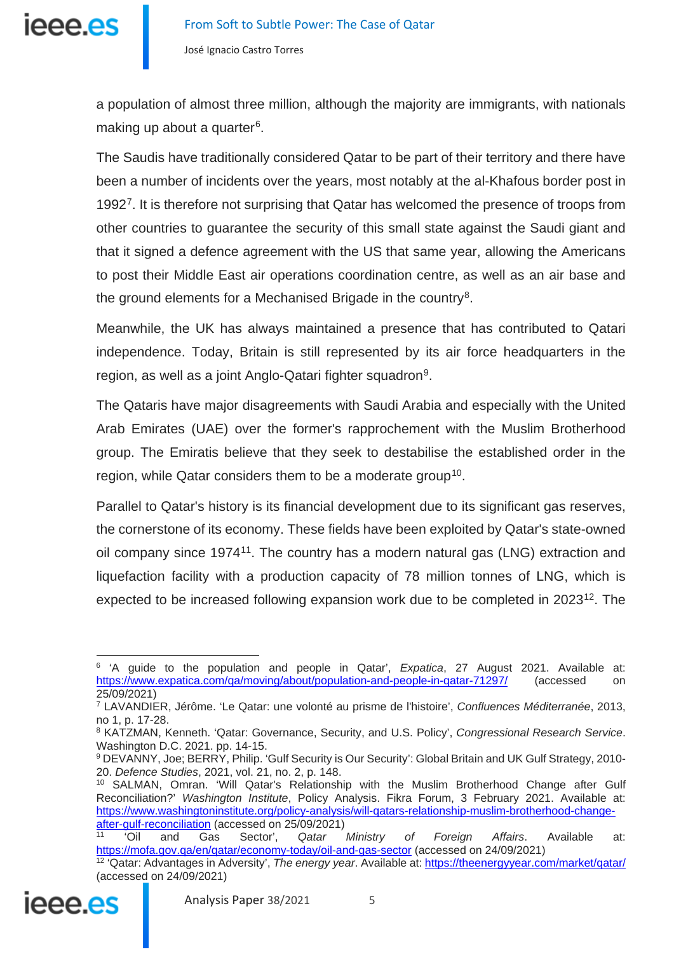

a population of almost three million, although the majority are immigrants, with nationals making up about a quarter<sup>[6](#page-4-0)</sup>.

The Saudis have traditionally considered Qatar to be part of their territory and there have been a number of incidents over the years, most notably at the al-Khafous border post in 1992<sup>7</sup>. It is therefore not surprising that Qatar has welcomed the presence of troops from other countries to guarantee the security of this small state against the Saudi giant and that it signed a defence agreement with the US that same year, allowing the Americans to post their Middle East air operations coordination centre, as well as an air base and the ground elements for a Mechanised Brigade in the country<sup>8</sup>.

Meanwhile, the UK has always maintained a presence that has contributed to Qatari independence. Today, Britain is still represented by its air force headquarters in the region, as well as a joint Anglo-Qatari fighter squadron<sup>9</sup>.

The Qataris have major disagreements with Saudi Arabia and especially with the United Arab Emirates (UAE) over the former's rapprochement with the Muslim Brotherhood group. The Emiratis believe that they seek to destabilise the established order in the region, while Qatar considers them to be a moderate group<sup>[10](#page-4-4)</sup>.

Parallel to Qatar's history is its financial development due to its significant gas reserves, the cornerstone of its economy. These fields have been exploited by Qatar's state-owned oil company since 1974[11.](#page-4-5) The country has a modern natural gas (LNG) extraction and liquefaction facility with a production capacity of 78 million tonnes of LNG, which is expected to be increased following expansion work due to be completed in 2023<sup>[12](#page-4-6)</sup>. The

<span id="page-4-6"></span><span id="page-4-5"></span><span id="page-4-4"></span><sup>12</sup> 'Qatar: Advantages in Adversity', *The energy year*. Available at[: https://theenergyyear.com/market/qatar/](https://theenergyyear.com/market/qatar/) (accessed on 24/09/2021)



<span id="page-4-0"></span><sup>6</sup> 'A guide to the population and people in Qatar', *Expatica*, 27 August 2021. Available at: <https://www.expatica.com/qa/moving/about/population-and-people-in-qatar-71297/> (accessed on 25/09/2021)

<span id="page-4-1"></span><sup>7</sup> LAVANDIER, Jérôme. 'Le Qatar: une volonté au prisme de l'histoire', *Confluences Méditerranée*, 2013, no 1, p. 17-28.

<span id="page-4-2"></span><sup>8</sup> KATZMAN, Kenneth. 'Qatar: Governance, Security, and U.S. Policy', *Congressional Research Service*. Washington D.C. 2021. pp. 14-15.

<span id="page-4-3"></span><sup>9</sup> DEVANNY, Joe; BERRY, Philip. 'Gulf Security is Our Security': Global Britain and UK Gulf Strategy, 2010- 20. *Defence Studies*, 2021, vol. 21, no. 2, p. 148.

<sup>10</sup> SALMAN, Omran. 'Will Qatar's Relationship with the Muslim Brotherhood Change after Gulf Reconciliation?' *Washington Institute*, Policy Analysis. Fikra Forum, 3 February 2021. Available at: [https://www.washingtoninstitute.org/policy-analysis/will-qatars-relationship-muslim-brotherhood-change](https://www.washingtoninstitute.org/policy-analysis/will-qatars-relationship-muslim-brotherhood-change-after-gulf-reconciliation)[after-gulf-reconciliation](https://www.washingtoninstitute.org/policy-analysis/will-qatars-relationship-muslim-brotherhood-change-after-gulf-reconciliation) (accessed on 25/09/2021)

<sup>11</sup> 'Oil and Gas Sector', *Qatar Ministry of Foreign Affairs*. Available at: <https://mofa.gov.qa/en/qatar/economy-today/oil-and-gas-sector> (accessed on 24/09/2021)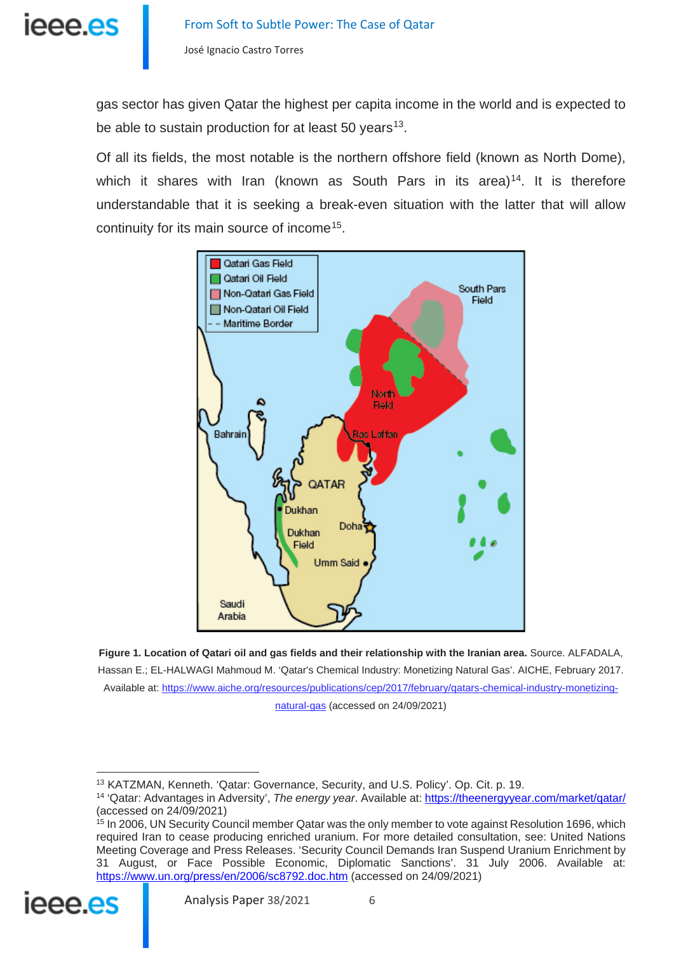

gas sector has given Qatar the highest per capita income in the world and is expected to be able to sustain production for at least 50 years $13$ .

Of all its fields, the most notable is the northern offshore field (known as North Dome), which it shares with Iran (known as South Pars in its area)<sup>[14](#page-5-1)</sup>. It is therefore understandable that it is seeking a break-even situation with the latter that will allow continuity for its main source of income[15.](#page-5-2)



**Figure 1. Location of Qatari oil and gas fields and their relationship with the Iranian area.** Source. ALFADALA, Hassan E.; EL-HALWAGI Mahmoud M. 'Qatar's Chemical Industry: Monetizing Natural Gas'. AICHE, February 2017. Available at: [https://www.aiche.org/resources/publications/cep/2017/february/qatars-chemical-industry-monetizing](https://www.aiche.org/resources/publications/cep/2017/february/qatars-chemical-industry-monetizing-natural-gas)[natural-gas](https://www.aiche.org/resources/publications/cep/2017/february/qatars-chemical-industry-monetizing-natural-gas) (accessed on 24/09/2021)

<span id="page-5-2"></span><span id="page-5-1"></span><span id="page-5-0"></span><sup>&</sup>lt;sup>15</sup> In 2006, UN Security Council member Qatar was the only member to vote against Resolution 1696, which required Iran to cease producing enriched uranium. For more detailed consultation, see: United Nations Meeting Coverage and Press Releases. 'Security Council Demands Iran Suspend Uranium Enrichment by 31 August, or Face Possible Economic, Diplomatic Sanctions'. 31 July 2006. Available at: <https://www.un.org/press/en/2006/sc8792.doc.htm> (accessed on 24/09/2021)



<sup>13</sup> KATZMAN, Kenneth. 'Qatar: Governance, Security, and U.S. Policy'. Op. Cit. p. 19.

<sup>14</sup> 'Qatar: Advantages in Adversity', *The energy year*. Available at[: https://theenergyyear.com/market/qatar/](https://theenergyyear.com/market/qatar/) (accessed on 24/09/2021)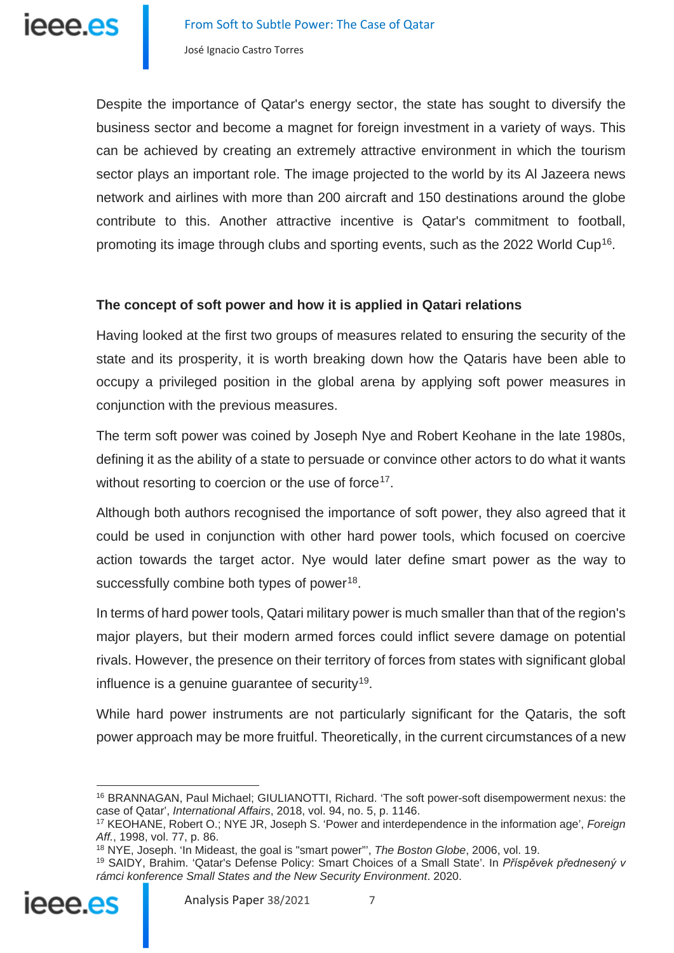Despite the importance of Qatar's energy sector, the state has sought to diversify the business sector and become a magnet for foreign investment in a variety of ways. This can be achieved by creating an extremely attractive environment in which the tourism sector plays an important role. The image projected to the world by its Al Jazeera news network and airlines with more than 200 aircraft and 150 destinations around the globe contribute to this. Another attractive incentive is Qatar's commitment to football, promoting its image through clubs and sporting events, such as the 2022 World Cup<sup>16</sup>.

### **The concept of soft power and how it is applied in Qatari relations**

Having looked at the first two groups of measures related to ensuring the security of the state and its prosperity, it is worth breaking down how the Qataris have been able to occupy a privileged position in the global arena by applying soft power measures in conjunction with the previous measures.

The term soft power was coined by Joseph Nye and Robert Keohane in the late 1980s, defining it as the ability of a state to persuade or convince other actors to do what it wants without resorting to coercion or the use of force<sup>17</sup>.

Although both authors recognised the importance of soft power, they also agreed that it could be used in conjunction with other hard power tools, which focused on coercive action towards the target actor. Nye would later define smart power as the way to successfully combine both types of power<sup>18</sup>.

In terms of hard power tools, Qatari military power is much smaller than that of the region's major players, but their modern armed forces could inflict severe damage on potential rivals. However, the presence on their territory of forces from states with significant global influence is a genuine guarantee of security<sup>19</sup>.

While hard power instruments are not particularly significant for the Qataris, the soft power approach may be more fruitful. Theoretically, in the current circumstances of a new

<span id="page-6-3"></span><span id="page-6-2"></span><span id="page-6-1"></span><span id="page-6-0"></span><sup>19</sup> SAIDY, Brahim. 'Qatar's Defense Policy: Smart Choices of a Small State'. In *Příspěvek přednesený v rámci konference Small States and the New Security Environment*. 2020.



<sup>16</sup> BRANNAGAN, Paul Michael; GIULIANOTTI, Richard. 'The soft power-soft disempowerment nexus: the case of Qatar', *International Affairs*, 2018, vol. 94, no. 5, p. 1146.

<sup>17</sup> KEOHANE, Robert O.; NYE JR, Joseph S. 'Power and interdependence in the information age', *Foreign Aff.*, 1998, vol. 77, p. 86.

<sup>18</sup> NYE, Joseph. 'In Mideast, the goal is "smart power"', *The Boston Globe*, 2006, vol. 19.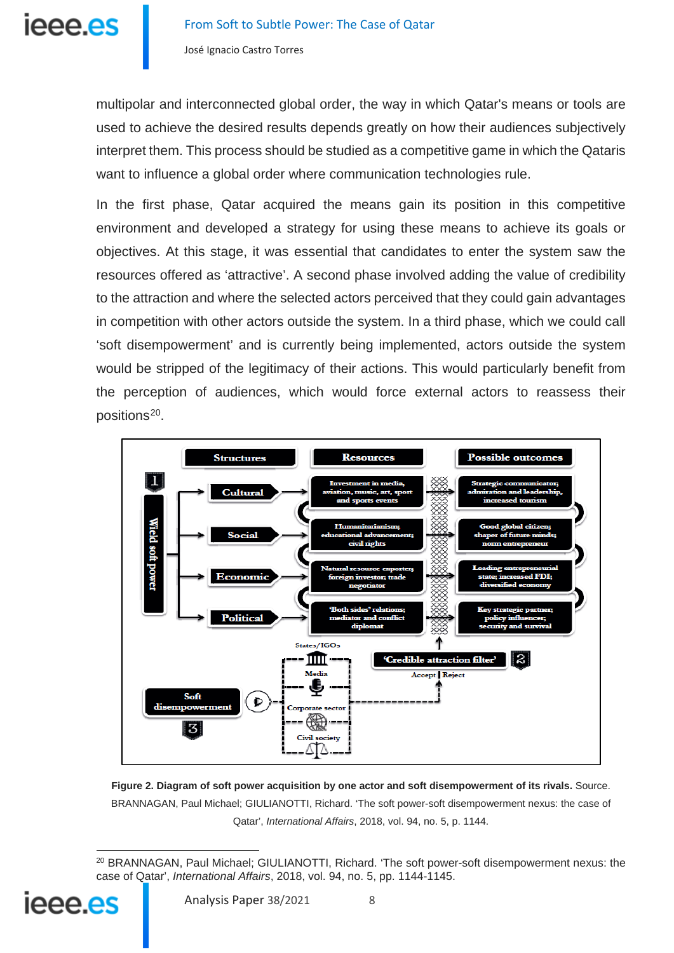multipolar and interconnected global order, the way in which Qatar's means or tools are used to achieve the desired results depends greatly on how their audiences subjectively interpret them. This process should be studied as a competitive game in which the Qataris want to influence a global order where communication technologies rule.

In the first phase, Qatar acquired the means gain its position in this competitive environment and developed a strategy for using these means to achieve its goals or objectives. At this stage, it was essential that candidates to enter the system saw the resources offered as 'attractive'. A second phase involved adding the value of credibility to the attraction and where the selected actors perceived that they could gain advantages in competition with other actors outside the system. In a third phase, which we could call 'soft disempowerment' and is currently being implemented, actors outside the system would be stripped of the legitimacy of their actions. This would particularly benefit from the perception of audiences, which would force external actors to reassess their positions[20.](#page-7-0)



**Figure 2. Diagram of soft power acquisition by one actor and soft disempowerment of its rivals.** Source. BRANNAGAN, Paul Michael; GIULIANOTTI, Richard. 'The soft power-soft disempowerment nexus: the case of Qatar', *International Affairs*, 2018, vol. 94, no. 5, p. 1144.

<span id="page-7-0"></span> $\overline{a}$ <sup>20</sup> BRANNAGAN, Paul Michael; GIULIANOTTI, Richard. 'The soft power-soft disempowerment nexus: the case of Qatar', *International Affairs*, 2018, vol. 94, no. 5, pp. 1144-1145.

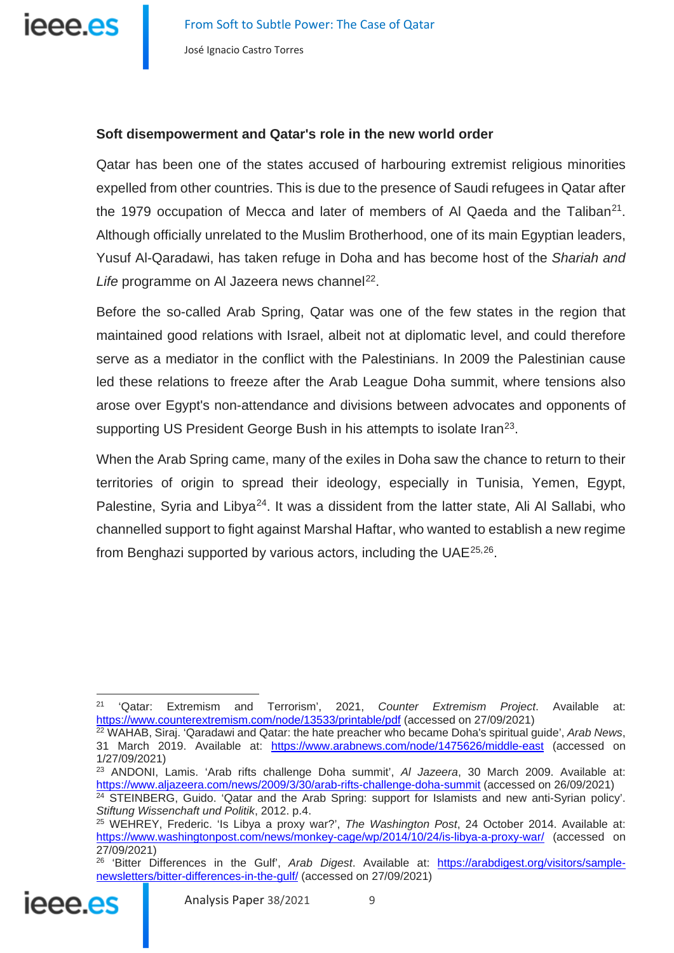## **Soft disempowerment and Qatar's role in the new world order**

Qatar has been one of the states accused of harbouring extremist religious minorities expelled from other countries. This is due to the presence of Saudi refugees in Qatar after the 1979 occupation of Mecca and later of members of AI Qaeda and the Taliban<sup>[21](#page-8-0)</sup>. Although officially unrelated to the Muslim Brotherhood, one of its main Egyptian leaders, Yusuf Al-Qaradawi, has taken refuge in Doha and has become host of the *Shariah and*  Life programme on Al Jazeera news channel<sup>22</sup>.

Before the so-called Arab Spring, Qatar was one of the few states in the region that maintained good relations with Israel, albeit not at diplomatic level, and could therefore serve as a mediator in the conflict with the Palestinians. In 2009 the Palestinian cause led these relations to freeze after the Arab League Doha summit, where tensions also arose over Egypt's non-attendance and divisions between advocates and opponents of supporting US President George Bush in his attempts to isolate Iran<sup>23</sup>.

When the Arab Spring came, many of the exiles in Doha saw the chance to return to their territories of origin to spread their ideology, especially in Tunisia, Yemen, Egypt, Palestine, Syria and Libya<sup>24</sup>. It was a dissident from the latter state, Ali Al Sallabi, who channelled support to fight against Marshal Haftar, who wanted to establish a new regime from Benghazi supported by various actors, including the UAE[25,](#page-8-4)[26](#page-8-5).

<span id="page-8-5"></span><span id="page-8-4"></span><span id="page-8-3"></span><span id="page-8-2"></span><sup>26</sup> 'Bitter Differences in the Gulf', *Arab Digest*. Available at: [https://arabdigest.org/visitors/sample](https://arabdigest.org/visitors/sample-newsletters/bitter-differences-in-the-gulf/)[newsletters/bitter-differences-in-the-gulf/](https://arabdigest.org/visitors/sample-newsletters/bitter-differences-in-the-gulf/) (accessed on 27/09/2021)



<span id="page-8-0"></span><sup>21</sup> 'Qatar: Extremism and Terrorism', 2021, *Counter Extremism Project*. Available at: <https://www.counterextremism.com/node/13533/printable/pdf> (accessed on 27/09/2021)

<span id="page-8-1"></span><sup>22</sup> WAHAB, Siraj. 'Qaradawi and Qatar: the hate preacher who became Doha's spiritual guide', *Arab News*, 31 March 2019. Available at: <https://www.arabnews.com/node/1475626/middle-east> (accessed on 1/27/09/2021)

<sup>23</sup> ANDONI, Lamis. 'Arab rifts challenge Doha summit', *Al Jazeera*, 30 March 2009. Available at: <https://www.aljazeera.com/news/2009/3/30/arab-rifts-challenge-doha-summit> (accessed on 26/09/2021) <sup>24</sup> STEINBERG, Guido. 'Qatar and the Arab Spring: support for Islamists and new anti-Syrian policy'. *Stiftung Wissenchaft und Politik*, 2012. p.4.

<sup>25</sup> WEHREY, Frederic. 'Is Libya a proxy war?', *The Washington Post*, 24 October 2014. Available at: <https://www.washingtonpost.com/news/monkey-cage/wp/2014/10/24/is-libya-a-proxy-war/> (accessed on 27/09/2021)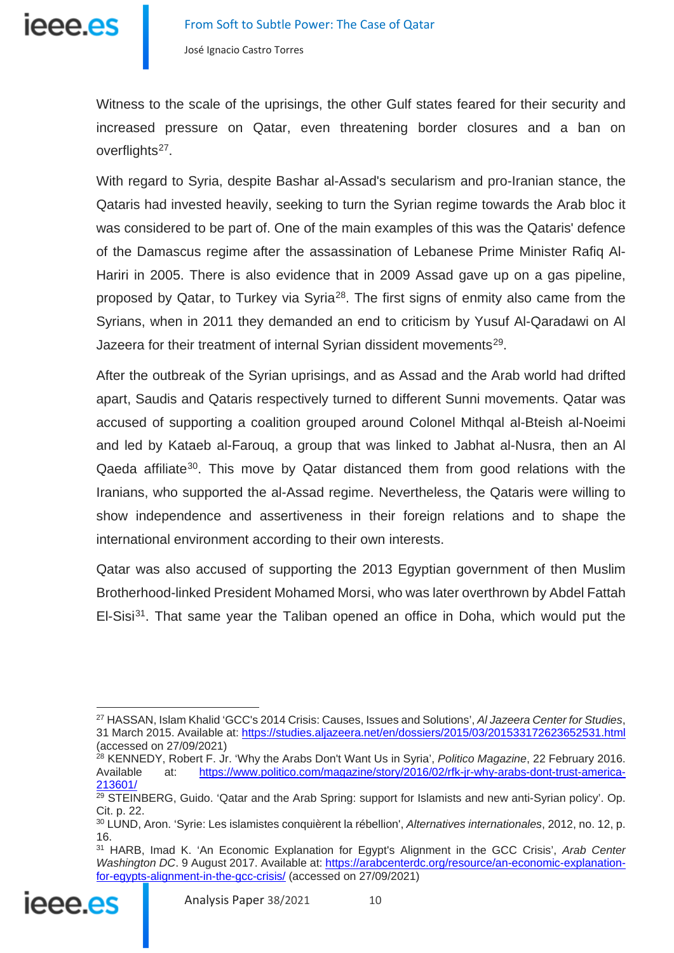

Witness to the scale of the uprisings, the other Gulf states feared for their security and increased pressure on Qatar, even threatening border closures and a ban on overflights<sup>[27](#page-9-0)</sup>.

With regard to Syria, despite Bashar al-Assad's secularism and pro-Iranian stance, the Qataris had invested heavily, seeking to turn the Syrian regime towards the Arab bloc it was considered to be part of. One of the main examples of this was the Qataris' defence of the Damascus regime after the assassination of Lebanese Prime Minister Rafiq Al-Hariri in 2005. There is also evidence that in 2009 Assad gave up on a gas pipeline, proposed by Qatar, to Turkey via Syria<sup>[28](#page-9-1)</sup>. The first signs of enmity also came from the Syrians, when in 2011 they demanded an end to criticism by Yusuf Al-Qaradawi on Al Jazeera for their treatment of internal Syrian dissident movements<sup>29</sup>.

After the outbreak of the Syrian uprisings, and as Assad and the Arab world had drifted apart, Saudis and Qataris respectively turned to different Sunni movements. Qatar was accused of supporting a coalition grouped around Colonel Mithqal al-Bteish al-Noeimi and led by Kataeb al-Farouq, a group that was linked to Jabhat al-Nusra, then an Al Qaeda affiliate<sup>30</sup>. This move by Qatar distanced them from good relations with the Iranians, who supported the al-Assad regime. Nevertheless, the Qataris were willing to show independence and assertiveness in their foreign relations and to shape the international environment according to their own interests.

Qatar was also accused of supporting the 2013 Egyptian government of then Muslim Brotherhood-linked President Mohamed Morsi, who was later overthrown by Abdel Fattah El-Sisi<sup>[31](#page-9-4)</sup>. That same year the Taliban opened an office in Doha, which would put the

<span id="page-9-4"></span><span id="page-9-3"></span><span id="page-9-2"></span><span id="page-9-1"></span><sup>31</sup> HARB, Imad K. 'An Economic Explanation for Egypt's Alignment in the GCC Crisis', *Arab Center Washington DC*. 9 August 2017. Available at: [https://arabcenterdc.org/resource/an-economic-explanation](https://arabcenterdc.org/resource/an-economic-explanation-for-egypts-alignment-in-the-gcc-crisis/)[for-egypts-alignment-in-the-gcc-crisis/](https://arabcenterdc.org/resource/an-economic-explanation-for-egypts-alignment-in-the-gcc-crisis/) (accessed on 27/09/2021)



<span id="page-9-0"></span><sup>27</sup> HASSAN, Islam Khalid 'GCC's 2014 Crisis: Causes, Issues and Solutions', *Al Jazeera Center for Studies*, 31 March 2015. Available at[: https://studies.aljazeera.net/en/dossiers/2015/03/201533172623652531.html](https://studies.aljazeera.net/en/dossiers/2015/03/201533172623652531.html) (accessed on 27/09/2021)

<sup>28</sup> KENNEDY, Robert F. Jr. 'Why the Arabs Don't Want Us in Syria', *Politico Magazine*, 22 February 2016. Available at: [https://www.politico.com/magazine/story/2016/02/rfk-jr-why-arabs-dont-trust-america-](https://www.politico.com/magazine/story/2016/02/rfk-jr-why-arabs-dont-trust-america-213601/)[213601/](https://www.politico.com/magazine/story/2016/02/rfk-jr-why-arabs-dont-trust-america-213601/)

<sup>&</sup>lt;sup>29</sup> STEINBERG, Guido. 'Qatar and the Arab Spring: support for Islamists and new anti-Syrian policy'. Op. Cit. p. 22.

<sup>30</sup> LUND, Aron. 'Syrie: Les islamistes conquièrent la rébellion', *Alternatives internationales*, 2012, no. 12, p. 16.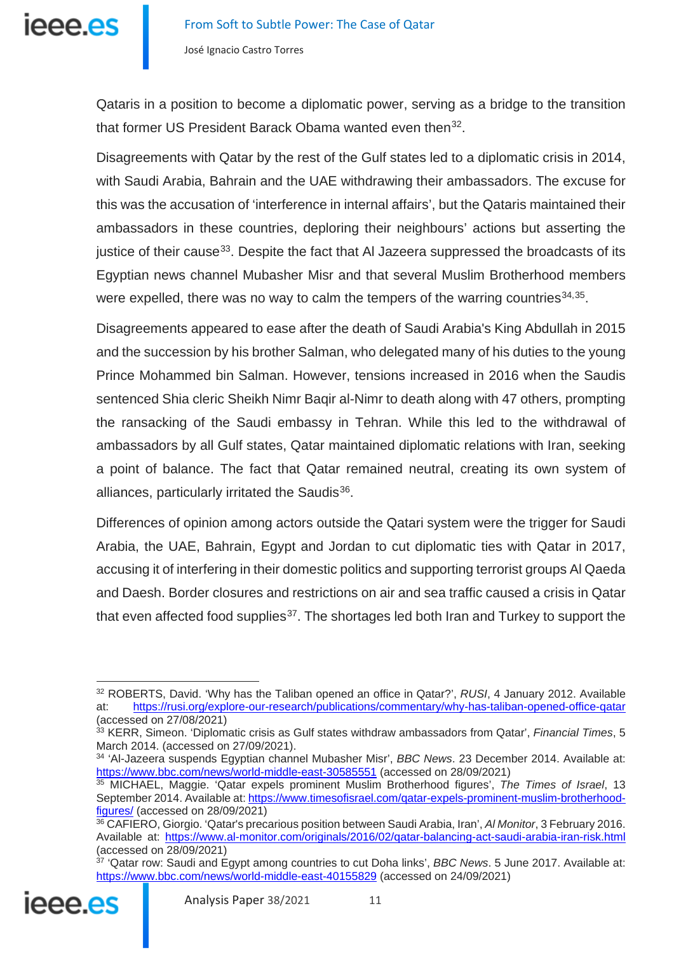

Qataris in a position to become a diplomatic power, serving as a bridge to the transition that former US President Barack Obama wanted even then<sup>32</sup>.

Disagreements with Qatar by the rest of the Gulf states led to a diplomatic crisis in 2014, with Saudi Arabia, Bahrain and the UAE withdrawing their ambassadors. The excuse for this was the accusation of 'interference in internal affairs', but the Qataris maintained their ambassadors in these countries, deploring their neighbours' actions but asserting the justice of their cause<sup>33</sup>. Despite the fact that AI Jazeera suppressed the broadcasts of its Egyptian news channel Mubasher Misr and that several Muslim Brotherhood members were expelled, there was no way to calm the tempers of the warring countries  $34,35$  $34,35$ .

Disagreements appeared to ease after the death of Saudi Arabia's King Abdullah in 2015 and the succession by his brother Salman, who delegated many of his duties to the young Prince Mohammed bin Salman. However, tensions increased in 2016 when the Saudis sentenced Shia cleric Sheikh Nimr Baqir al-Nimr to death along with 47 others, prompting the ransacking of the Saudi embassy in Tehran. While this led to the withdrawal of ambassadors by all Gulf states, Qatar maintained diplomatic relations with Iran, seeking a point of balance. The fact that Qatar remained neutral, creating its own system of alliances, particularly irritated the Saudis $36$ .

Differences of opinion among actors outside the Qatari system were the trigger for Saudi Arabia, the UAE, Bahrain, Egypt and Jordan to cut diplomatic ties with Qatar in 2017, accusing it of interfering in their domestic politics and supporting terrorist groups Al Qaeda and Daesh. Border closures and restrictions on air and sea traffic caused a crisis in Qatar that even affected food supplies<sup>37</sup>. The shortages led both Iran and Turkey to support the

<span id="page-10-5"></span><span id="page-10-4"></span><span id="page-10-3"></span><sup>&</sup>lt;sup>37</sup> 'Qatar row: Saudi and Egypt among countries to cut Doha links', *BBC News*. 5 June 2017. Available at: <https://www.bbc.com/news/world-middle-east-40155829> (accessed on 24/09/2021)



<span id="page-10-0"></span><sup>32</sup> ROBERTS, David. 'Why has the Taliban opened an office in Qatar?', *RUSI*, 4 January 2012. Available at: <https://rusi.org/explore-our-research/publications/commentary/why-has-taliban-opened-office-qatar> (accessed on 27/08/2021)

<span id="page-10-1"></span><sup>33</sup> KERR, Simeon. 'Diplomatic crisis as Gulf states withdraw ambassadors from Qatar', *Financial Times*, 5 March 2014. (accessed on 27/09/2021).

<span id="page-10-2"></span><sup>34</sup> 'Al-Jazeera suspends Egyptian channel Mubasher Misr', *BBC News*. 23 December 2014. Available at: <https://www.bbc.com/news/world-middle-east-30585551> (accessed on 28/09/2021)

<sup>35</sup> MICHAEL, Maggie. 'Qatar expels prominent Muslim Brotherhood figures', *The Times of Israel*, 13 September 2014. Available at[: https://www.timesofisrael.com/qatar-expels-prominent-muslim-brotherhood](https://www.timesofisrael.com/qatar-expels-prominent-muslim-brotherhood-figures/)[figures/](https://www.timesofisrael.com/qatar-expels-prominent-muslim-brotherhood-figures/) (accessed on 28/09/2021)

<sup>36</sup> CAFIERO, Giorgio. 'Qatar's precarious position between Saudi Arabia, Iran', *Al Monitor*, 3 February 2016. Available at:<https://www.al-monitor.com/originals/2016/02/qatar-balancing-act-saudi-arabia-iran-risk.html> (accessed on 28/09/2021)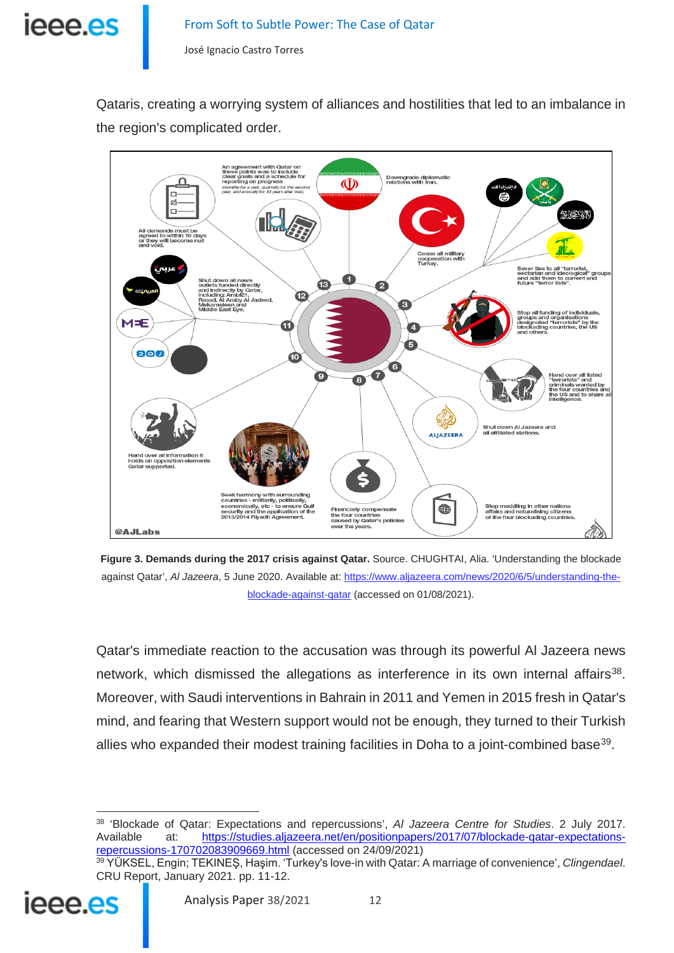

Qataris, creating a worrying system of alliances and hostilities that led to an imbalance in the region's complicated order.



**Figure 3. Demands during the 2017 crisis against Qatar.** Source. CHUGHTAI, Alia. 'Understanding the blockade against Qatar', *Al Jazeera*, 5 June 2020. Available at: [https://www.aljazeera.com/news/2020/6/5/understanding-the](https://www.aljazeera.com/news/2020/6/5/understanding-the-blockade-against-qatar)[blockade-against-qatar](https://www.aljazeera.com/news/2020/6/5/understanding-the-blockade-against-qatar) (accessed on 01/08/2021).

Qatar's immediate reaction to the accusation was through its powerful Al Jazeera news network, which dismissed the allegations as interference in its own internal affairs<sup>[38](#page-11-0)</sup>. Moreover, with Saudi interventions in Bahrain in 2011 and Yemen in 2015 fresh in Qatar's mind, and fearing that Western support would not be enough, they turned to their Turkish allies who expanded their modest training facilities in Doha to a joint-combined base<sup>[39](#page-11-1)</sup>.

<span id="page-11-1"></span><span id="page-11-0"></span><sup>39</sup> YÜKSEL, Engin; TEKINEŞ, Haşim. 'Turkey's love-in with Qatar: A marriage of convenience', *Clingendael*. CRU Report, January 2021. pp. 11-12.



<sup>38</sup> 'Blockade of Qatar: Expectations and repercussions', *Al Jazeera Centre for Studies*. 2 July 2017. Available at: [https://studies.aljazeera.net/en/positionpapers/2017/07/blockade-qatar-expectations](https://studies.aljazeera.net/en/positionpapers/2017/07/blockade-qatar-expectations-repercussions-170702083909669.html)[repercussions-170702083909669.html](https://studies.aljazeera.net/en/positionpapers/2017/07/blockade-qatar-expectations-repercussions-170702083909669.html) (accessed on 24/09/2021)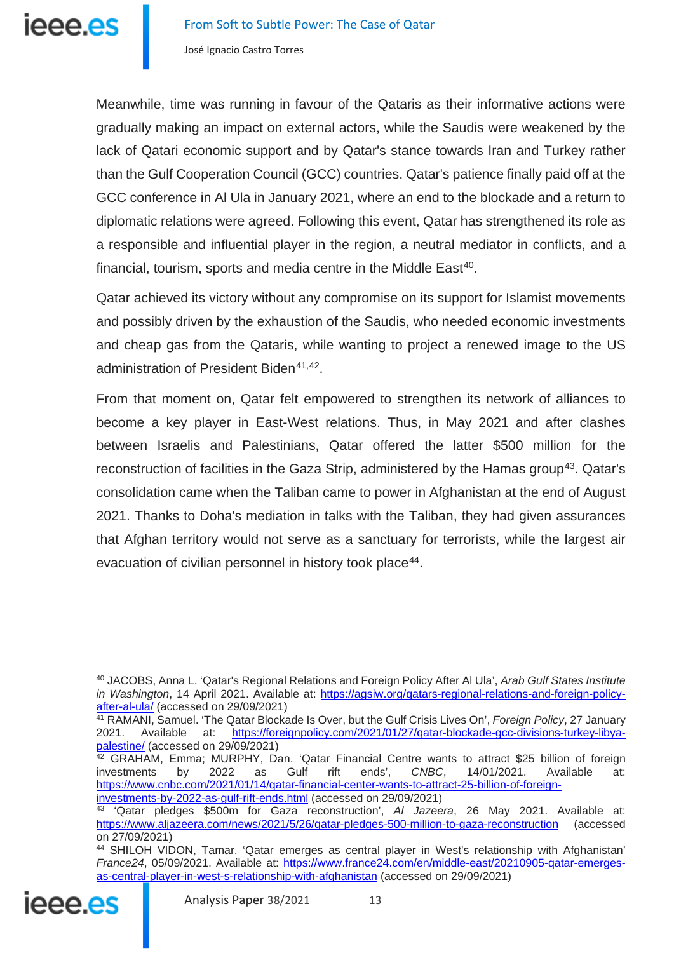Meanwhile, time was running in favour of the Qataris as their informative actions were gradually making an impact on external actors, while the Saudis were weakened by the lack of Qatari economic support and by Qatar's stance towards Iran and Turkey rather than the Gulf Cooperation Council (GCC) countries. Qatar's patience finally paid off at the GCC conference in Al Ula in January 2021, where an end to the blockade and a return to diplomatic relations were agreed. Following this event, Qatar has strengthened its role as a responsible and influential player in the region, a neutral mediator in conflicts, and a financial, tourism, sports and media centre in the Middle East<sup>40</sup>.

Qatar achieved its victory without any compromise on its support for Islamist movements and possibly driven by the exhaustion of the Saudis, who needed economic investments and cheap gas from the Qataris, while wanting to project a renewed image to the US administration of President Biden<sup>[41,](#page-12-1)[42](#page-12-2)</sup>.

From that moment on, Qatar felt empowered to strengthen its network of alliances to become a key player in East-West relations. Thus, in May 2021 and after clashes between Israelis and Palestinians, Qatar offered the latter \$500 million for the reconstruction of facilities in the Gaza Strip, administered by the Hamas group<sup>43</sup>. Qatar's consolidation came when the Taliban came to power in Afghanistan at the end of August 2021. Thanks to Doha's mediation in talks with the Taliban, they had given assurances that Afghan territory would not serve as a sanctuary for terrorists, while the largest air evacuation of civilian personnel in history took place<sup>44</sup>.

<span id="page-12-4"></span><span id="page-12-3"></span><span id="page-12-2"></span><sup>44</sup> SHILOH VIDON, Tamar. 'Qatar emerges as central player in West's relationship with Afghanistan' *France24*, 05/09/2021. Available at: [https://www.france24.com/en/middle-east/20210905-qatar-emerges](https://www.france24.com/en/middle-east/20210905-qatar-emerges-as-central-player-in-west-s-relationship-with-afghanistan)[as-central-player-in-west-s-relationship-with-afghanistan](https://www.france24.com/en/middle-east/20210905-qatar-emerges-as-central-player-in-west-s-relationship-with-afghanistan) (accessed on 29/09/2021)



<span id="page-12-0"></span><sup>40</sup> JACOBS, Anna L. 'Qatar's Regional Relations and Foreign Policy After Al Ula', *Arab Gulf States Institute in Washington*, 14 April 2021. Available at: [https://agsiw.org/qatars-regional-relations-and-foreign-policy](https://agsiw.org/qatars-regional-relations-and-foreign-policy-after-al-ula/)[after-al-ula/](https://agsiw.org/qatars-regional-relations-and-foreign-policy-after-al-ula/) (accessed on 29/09/2021)

<span id="page-12-1"></span><sup>41</sup> RAMANI, Samuel. 'The Qatar Blockade Is Over, but the Gulf Crisis Lives On', *Foreign Policy*, 27 January 2021. Available at: [https://foreignpolicy.com/2021/01/27/qatar-blockade-gcc-divisions-turkey-libya](https://foreignpolicy.com/2021/01/27/qatar-blockade-gcc-divisions-turkey-libya-palestine/)[palestine/](https://foreignpolicy.com/2021/01/27/qatar-blockade-gcc-divisions-turkey-libya-palestine/) (accessed on 29/09/2021)

<sup>&</sup>lt;sup>42</sup> GRAHAM, Emma; MURPHY, Dan. 'Qatar Financial Centre wants to attract \$25 billion of foreign investments by 2022 as Gulf rift ends', *CNBC*, 14/01/2021. Available at: [https://www.cnbc.com/2021/01/14/qatar-financial-center-wants-to-attract-25-billion-of-foreign](https://www.cnbc.com/2021/01/14/qatar-financial-center-wants-to-attract-25-billion-of-foreign-investments-by-2022-as-gulf-rift-ends.html)[investments-by-2022-as-gulf-rift-ends.html](https://www.cnbc.com/2021/01/14/qatar-financial-center-wants-to-attract-25-billion-of-foreign-investments-by-2022-as-gulf-rift-ends.html) (accessed on 29/09/2021)

<sup>43</sup> 'Qatar pledges \$500m for Gaza reconstruction', *Al Jazeera*, 26 May 2021. Available at: <https://www.aljazeera.com/news/2021/5/26/qatar-pledges-500-million-to-gaza-reconstruction> (accessed on 27/09/2021)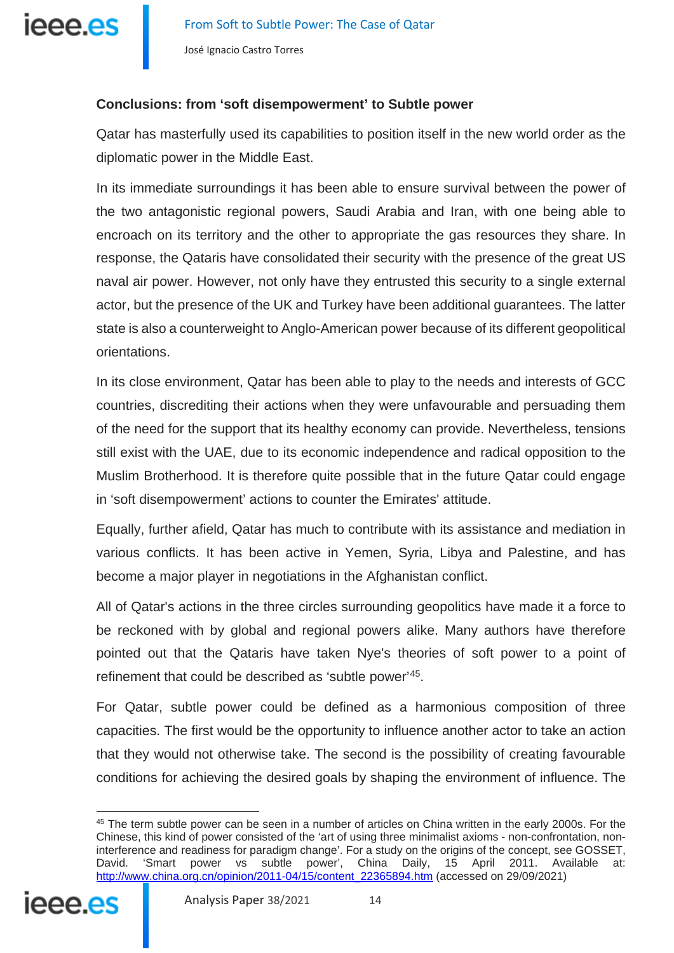

### **Conclusions: from 'soft disempowerment' to Subtle power**

Qatar has masterfully used its capabilities to position itself in the new world order as the diplomatic power in the Middle East.

In its immediate surroundings it has been able to ensure survival between the power of the two antagonistic regional powers, Saudi Arabia and Iran, with one being able to encroach on its territory and the other to appropriate the gas resources they share. In response, the Qataris have consolidated their security with the presence of the great US naval air power. However, not only have they entrusted this security to a single external actor, but the presence of the UK and Turkey have been additional guarantees. The latter state is also a counterweight to Anglo-American power because of its different geopolitical orientations.

In its close environment, Qatar has been able to play to the needs and interests of GCC countries, discrediting their actions when they were unfavourable and persuading them of the need for the support that its healthy economy can provide. Nevertheless, tensions still exist with the UAE, due to its economic independence and radical opposition to the Muslim Brotherhood. It is therefore quite possible that in the future Qatar could engage in 'soft disempowerment' actions to counter the Emirates' attitude.

Equally, further afield, Qatar has much to contribute with its assistance and mediation in various conflicts. It has been active in Yemen, Syria, Libya and Palestine, and has become a major player in negotiations in the Afghanistan conflict.

All of Qatar's actions in the three circles surrounding geopolitics have made it a force to be reckoned with by global and regional powers alike. Many authors have therefore pointed out that the Qataris have taken Nye's theories of soft power to a point of refinement that could be described as 'subtle power'[45](#page-13-0).

For Qatar, subtle power could be defined as a harmonious composition of three capacities. The first would be the opportunity to influence another actor to take an action that they would not otherwise take. The second is the possibility of creating favourable conditions for achieving the desired goals by shaping the environment of influence. The

<span id="page-13-0"></span><sup>45</sup> The term subtle power can be seen in a number of articles on China written in the early 2000s. For the Chinese, this kind of power consisted of the 'art of using three minimalist axioms - non-confrontation, noninterference and readiness for paradigm change'. For a study on the origins of the concept, see GOSSET, David. 'Smart power vs subtle power', China Daily, 15 April 2011. Available at: [http://www.china.org.cn/opinion/2011-04/15/content\\_22365894.htm](http://www.china.org.cn/opinion/2011-04/15/content_22365894.htm) (accessed on 29/09/2021)